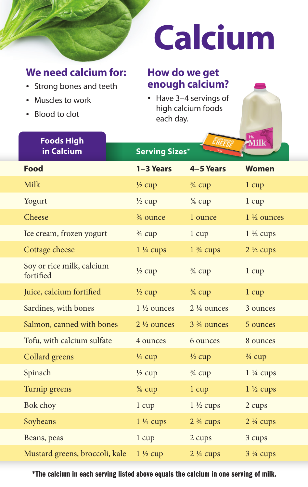## **We need calcium for:**

- Strong bones and teeth
- Muscles to work
- Blood to clot

# **Calcium**

## **How do we get enough calcium?**

• Have 3–4 servings of high calcium foods each day.

| <b>Foods High</b>                      | <sup>1%</sup><br>Milk |                                      |                       |  |
|----------------------------------------|-----------------------|--------------------------------------|-----------------------|--|
| in Calcium                             | <b>Serving Sizes*</b> |                                      |                       |  |
| <b>Food</b>                            | 1-3 Years             | 4-5 Years                            | <b>Women</b>          |  |
| <b>Milk</b>                            | $\frac{1}{2}$ cup     | $\frac{3}{4}$ cup                    | $1 \text{ cup}$       |  |
| Yogurt                                 | $\frac{1}{2}$ cup     | 3/4 cup                              | 1 cup                 |  |
| Cheese                                 | 3/4 ounce             | 1 ounce                              | $1\frac{1}{2}$ ounces |  |
| Ice cream, frozen yogurt               | $\frac{3}{4}$ cup     | $1 \text{ cup}$                      | $1\frac{1}{2}$ cups   |  |
| Cottage cheese                         | $1\frac{1}{4}$ cups   | $1\frac{3}{4}$ cups                  | $2\frac{1}{2}$ cups   |  |
| Soy or rice milk, calcium<br>fortified | $\frac{1}{2}$ cup     | 3/4 cup                              | 1 cup                 |  |
| Juice, calcium fortified               | $\frac{1}{2}$ cup     | $\frac{3}{4}$ cup                    | $1 \text{ cup}$       |  |
| Sardines, with bones                   | $1\frac{1}{2}$ ounces | $2\frac{1}{4}$ ounces                | 3 ounces              |  |
| Salmon, canned with bones              | $2\frac{1}{2}$ ounces | 3 <sup>3</sup> / <sub>4</sub> ounces | 5 ounces              |  |
| Tofu, with calcium sulfate             | 4 ounces              | 6 ounces                             | 8 ounces              |  |
| <b>Collard</b> greens                  | $\frac{1}{4}$ cup     | $\frac{1}{2}$ cup                    | $\frac{3}{4}$ cup     |  |
| Spinach                                | $\frac{1}{2}$ cup     | $\frac{3}{4}$ cup                    | $1\frac{1}{4}$ cups   |  |
| Turnip greens                          | $\frac{3}{4}$ cup     | 1 cup                                | $1\frac{1}{2}$ cups   |  |
| <b>Bok choy</b>                        | 1 cup                 | $1\frac{1}{2}$ cups                  | 2 cups                |  |
| Soybeans                               | $1\frac{1}{4}$ cups   | $2\frac{3}{4}$ cups                  | $2\frac{1}{4}$ cups   |  |
| Beans, peas                            | 1 cup                 | 2 cups                               | 3 cups                |  |
| Mustard greens, broccoli, kale         | $1\frac{1}{2}$ cup    | $2\frac{1}{4}$ cups                  | $3\frac{1}{4}$ cups   |  |

\*The calcium in each serving listed above equals the calcium in one serving of milk.